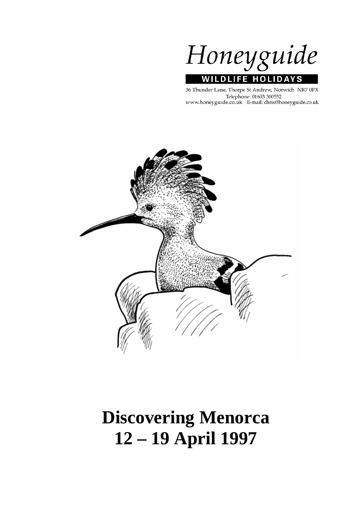Honeyguide **WILDLIFE HOLIDAYS** 

36 Thunder Lane, Thorpe St Andrew, Norwich NR7 0PX Telephone: 01603 300552 www.honeyguide.co.uk E-mail: chris@honeyguide.co.uk



# **Discovering Menorca 12 – 19 April 1997**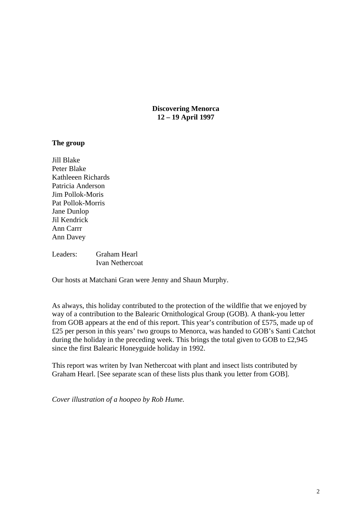**Discovering Menorca 12 – 19 April 1997** 

## **The group**

Jill Blake Peter Blake Kathleeen Richards Patricia Anderson Jim Pollok-Moris Pat Pollok-Morris Jane Dunlop Jil Kendrick Ann Carrr Ann Davey

Leaders: Graham Hearl Ivan Nethercoat

Our hosts at Matchani Gran were Jenny and Shaun Murphy.

As always, this holiday contributed to the protection of the wildlfie that we enjoyed by way of a contribution to the Balearic Ornithological Group (GOB). A thank-you letter from GOB appears at the end of this report. This year's contribution of £575, made up of £25 per person in this years' two groups to Menorca, was handed to GOB's Santi Catchot during the holiday in the preceding week. This brings the total given to GOB to £2,945 since the first Balearic Honeyguide holiday in 1992.

This report was writen by Ivan Nethercoat with plant and insect lists contributed by Graham Hearl. [See separate scan of these lists plus thank you letter from GOB].

*Cover illustration of a hoopeo by Rob Hume.*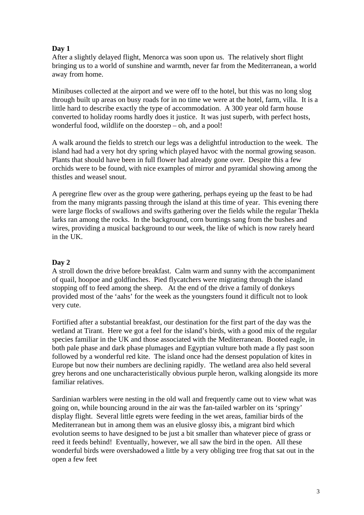## **Day 1**

After a slightly delayed flight, Menorca was soon upon us. The relatively short flight bringing us to a world of sunshine and warmth, never far from the Mediterranean, a world away from home.

Minibuses collected at the airport and we were off to the hotel, but this was no long slog through built up areas on busy roads for in no time we were at the hotel, farm, villa. It is a little hard to describe exactly the type of accommodation. A 300 year old farm house converted to holiday rooms hardly does it justice. It was just superb, with perfect hosts, wonderful food, wildlife on the doorstep – oh, and a pool!

A walk around the fields to stretch our legs was a delightful introduction to the week. The island had had a very hot dry spring which played havoc with the normal growing season. Plants that should have been in full flower had already gone over. Despite this a few orchids were to be found, with nice examples of mirror and pyramidal showing among the thistles and weasel snout.

A peregrine flew over as the group were gathering, perhaps eyeing up the feast to be had from the many migrants passing through the island at this time of year. This evening there were large flocks of swallows and swifts gathering over the fields while the regular Thekla larks ran among the rocks. In the background, corn buntings sang from the bushes and wires, providing a musical background to our week, the like of which is now rarely heard in the UK.

## **Day 2**

A stroll down the drive before breakfast. Calm warm and sunny with the accompaniment of quail, hoopoe and goldfinches. Pied flycatchers were migrating through the island stopping off to feed among the sheep. At the end of the drive a family of donkeys provided most of the 'aahs' for the week as the youngsters found it difficult not to look very cute.

Fortified after a substantial breakfast, our destination for the first part of the day was the wetland at Tirant. Here we got a feel for the island's birds, with a good mix of the regular species familiar in the UK and those associated with the Mediterranean. Booted eagle, in both pale phase and dark phase plumages and Egyptian vulture both made a fly past soon followed by a wonderful red kite. The island once had the densest population of kites in Europe but now their numbers are declining rapidly. The wetland area also held several grey herons and one uncharacteristically obvious purple heron, walking alongside its more familiar relatives.

Sardinian warblers were nesting in the old wall and frequently came out to view what was going on, while bouncing around in the air was the fan-tailed warbler on its 'springy' display flight. Several little egrets were feeding in the wet areas, familiar birds of the Mediterranean but in among them was an elusive glossy ibis, a migrant bird which evolution seems to have designed to be just a bit smaller than whatever piece of grass or reed it feeds behind! Eventually, however, we all saw the bird in the open. All these wonderful birds were overshadowed a little by a very obliging tree frog that sat out in the open a few feet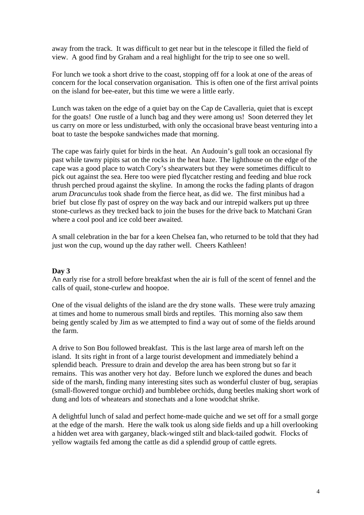away from the track. It was difficult to get near but in the telescope it filled the field of view. A good find by Graham and a real highlight for the trip to see one so well.

For lunch we took a short drive to the coast, stopping off for a look at one of the areas of concern for the local conservation organisation. This is often one of the first arrival points on the island for bee-eater, but this time we were a little early.

Lunch was taken on the edge of a quiet bay on the Cap de Cavalleria, quiet that is except for the goats! One rustle of a lunch bag and they were among us! Soon deterred they let us carry on more or less undisturbed, with only the occasional brave beast venturing into a boat to taste the bespoke sandwiches made that morning.

The cape was fairly quiet for birds in the heat. An Audouin's gull took an occasional fly past while tawny pipits sat on the rocks in the heat haze. The lighthouse on the edge of the cape was a good place to watch Cory's shearwaters but they were sometimes difficult to pick out against the sea. Here too were pied flycatcher resting and feeding and blue rock thrush perched proud against the skyline. In among the rocks the fading plants of dragon arum *Dracunculus* took shade from the fierce heat, as did we. The first minibus had a brief but close fly past of osprey on the way back and our intrepid walkers put up three stone-curlews as they trecked back to join the buses for the drive back to Matchani Gran where a cool pool and ice cold beer awaited.

A small celebration in the bar for a keen Chelsea fan, who returned to be told that they had just won the cup, wound up the day rather well. Cheers Kathleen!

## **Day 3**

An early rise for a stroll before breakfast when the air is full of the scent of fennel and the calls of quail, stone-curlew and hoopoe.

One of the visual delights of the island are the dry stone walls. These were truly amazing at times and home to numerous small birds and reptiles. This morning also saw them being gently scaled by Jim as we attempted to find a way out of some of the fields around the farm.

A drive to Son Bou followed breakfast. This is the last large area of marsh left on the island. It sits right in front of a large tourist development and immediately behind a splendid beach. Pressure to drain and develop the area has been strong but so far it remains. This was another very hot day. Before lunch we explored the dunes and beach side of the marsh, finding many interesting sites such as wonderful cluster of bug, serapias (small-flowered tongue orchid) and bumblebee orchids, dung beetles making short work of dung and lots of wheatears and stonechats and a lone woodchat shrike.

A delightful lunch of salad and perfect home-made quiche and we set off for a small gorge at the edge of the marsh. Here the walk took us along side fields and up a hill overlooking a hidden wet area with garganey, black-winged stilt and black-tailed godwit. Flocks of yellow wagtails fed among the cattle as did a splendid group of cattle egrets.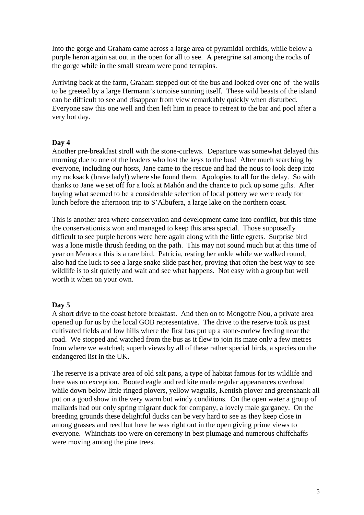Into the gorge and Graham came across a large area of pyramidal orchids, while below a purple heron again sat out in the open for all to see. A peregrine sat among the rocks of the gorge while in the small stream were pond terrapins.

Arriving back at the farm, Graham stepped out of the bus and looked over one of the walls to be greeted by a large Hermann's tortoise sunning itself. These wild beasts of the island can be difficult to see and disappear from view remarkably quickly when disturbed. Everyone saw this one well and then left him in peace to retreat to the bar and pool after a very hot day.

## **Day 4**

Another pre-breakfast stroll with the stone-curlews. Departure was somewhat delayed this morning due to one of the leaders who lost the keys to the bus! After much searching by everyone, including our hosts, Jane came to the rescue and had the nous to look deep into my rucksack (brave lady!) where she found them. Apologies to all for the delay. So with thanks to Jane we set off for a look at Mahón and the chance to pick up some gifts. After buying what seemed to be a considerable selection of local pottery we were ready for lunch before the afternoon trip to S'Albufera, a large lake on the northern coast.

This is another area where conservation and development came into conflict, but this time the conservationists won and managed to keep this area special. Those supposedly difficult to see purple herons were here again along with the little egrets. Surprise bird was a lone mistle thrush feeding on the path. This may not sound much but at this time of year on Menorca this is a rare bird. Patricia, resting her ankle while we walked round, also had the luck to see a large snake slide past her, proving that often the best way to see wildlife is to sit quietly and wait and see what happens. Not easy with a group but well worth it when on your own.

## **Day 5**

A short drive to the coast before breakfast. And then on to Mongofre Nou, a private area opened up for us by the local GOB representative. The drive to the reserve took us past cultivated fields and low hills where the first bus put up a stone-curlew feeding near the road. We stopped and watched from the bus as it flew to join its mate only a few metres from where we watched; superb views by all of these rather special birds, a species on the endangered list in the UK.

The reserve is a private area of old salt pans, a type of habitat famous for its wildlife and here was no exception. Booted eagle and red kite made regular appearances overhead while down below little ringed plovers, yellow wagtails, Kentish plover and greenshank all put on a good show in the very warm but windy conditions. On the open water a group of mallards had our only spring migrant duck for company, a lovely male garganey. On the breeding grounds these delightful ducks can be very hard to see as they keep close in among grasses and reed but here he was right out in the open giving prime views to everyone. Whinchats too were on ceremony in best plumage and numerous chiffchaffs were moving among the pine trees.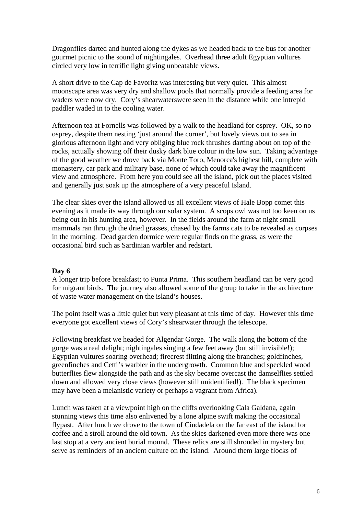Dragonflies darted and hunted along the dykes as we headed back to the bus for another gourmet picnic to the sound of nightingales. Overhead three adult Egyptian vultures circled very low in terrific light giving unbeatable views.

A short drive to the Cap de Favoritz was interesting but very quiet. This almost moonscape area was very dry and shallow pools that normally provide a feeding area for waders were now dry. Cory's shearwaterswere seen in the distance while one intrepid paddler waded in to the cooling water.

Afternoon tea at Fornells was followed by a walk to the headland for osprey. OK, so no osprey, despite them nesting 'just around the corner', but lovely views out to sea in glorious afternoon light and very obliging blue rock thrushes darting about on top of the rocks, actually showing off their dusky dark blue colour in the low sun. Taking advantage of the good weather we drove back via Monte Toro, Menorca's highest hill, complete with monastery, car park and military base, none of which could take away the magnificent view and atmosphere. From here you could see all the island, pick out the places visited and generally just soak up the atmosphere of a very peaceful Island.

The clear skies over the island allowed us all excellent views of Hale Bopp comet this evening as it made its way through our solar system. A scops owl was not too keen on us being out in his hunting area, however. In the fields around the farm at night small mammals ran through the dried grasses, chased by the farms cats to be revealed as corpses in the morning. Dead garden dormice were regular finds on the grass, as were the occasional bird such as Sardinian warbler and redstart.

## **Day 6**

A longer trip before breakfast; to Punta Prima. This southern headland can be very good for migrant birds. The journey also allowed some of the group to take in the architecture of waste water management on the island's houses.

The point itself was a little quiet but very pleasant at this time of day. However this time everyone got excellent views of Cory's shearwater through the telescope.

Following breakfast we headed for Algendar Gorge. The walk along the bottom of the gorge was a real delight; nightingales singing a few feet away (but still invisible!); Egyptian vultures soaring overhead; firecrest flitting along the branches; goldfinches, greenfinches and Cetti's warbler in the undergrowth. Common blue and speckled wood butterflies flew alongside the path and as the sky became overcast the damselflies settled down and allowed very close views (however still unidentified!). The black specimen may have been a melanistic variety or perhaps a vagrant from Africa).

Lunch was taken at a viewpoint high on the cliffs overlooking Cala Galdana, again stunning views this time also enlivened by a lone alpine swift making the occasional flypast. After lunch we drove to the town of Ciudadela on the far east of the island for coffee and a stroll around the old town. As the skies darkened even more there was one last stop at a very ancient burial mound. These relics are still shrouded in mystery but serve as reminders of an ancient culture on the island. Around them large flocks of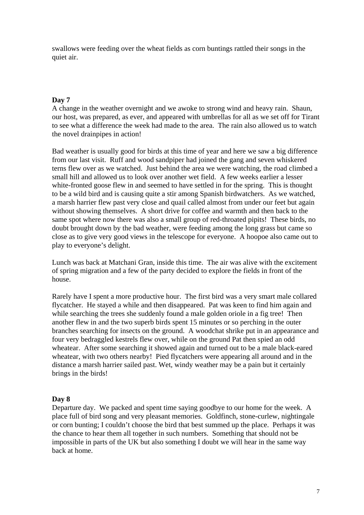swallows were feeding over the wheat fields as corn buntings rattled their songs in the quiet air.

## **Day 7**

A change in the weather overnight and we awoke to strong wind and heavy rain. Shaun, our host, was prepared, as ever, and appeared with umbrellas for all as we set off for Tirant to see what a difference the week had made to the area. The rain also allowed us to watch the novel drainpipes in action!

Bad weather is usually good for birds at this time of year and here we saw a big difference from our last visit. Ruff and wood sandpiper had joined the gang and seven whiskered terns flew over as we watched. Just behind the area we were watching, the road climbed a small hill and allowed us to look over another wet field. A few weeks earlier a lesser white-fronted goose flew in and seemed to have settled in for the spring. This is thought to be a wild bird and is causing quite a stir among Spanish birdwatchers. As we watched, a marsh harrier flew past very close and quail called almost from under our feet but again without showing themselves. A short drive for coffee and warmth and then back to the same spot where now there was also a small group of red-throated pipits! These birds, no doubt brought down by the bad weather, were feeding among the long grass but came so close as to give very good views in the telescope for everyone. A hoopoe also came out to play to everyone's delight.

Lunch was back at Matchani Gran, inside this time. The air was alive with the excitement of spring migration and a few of the party decided to explore the fields in front of the house.

Rarely have I spent a more productive hour. The first bird was a very smart male collared flycatcher. He stayed a while and then disappeared. Pat was keen to find him again and while searching the trees she suddenly found a male golden oriole in a fig tree! Then another flew in and the two superb birds spent 15 minutes or so perching in the outer branches searching for insects on the ground. A woodchat shrike put in an appearance and four very bedraggled kestrels flew over, while on the ground Pat then spied an odd wheatear. After some searching it showed again and turned out to be a male black-eared wheatear, with two others nearby! Pied flycatchers were appearing all around and in the distance a marsh harrier sailed past. Wet, windy weather may be a pain but it certainly brings in the birds!

## **Day 8**

Departure day. We packed and spent time saying goodbye to our home for the week. A place full of bird song and very pleasant memories. Goldfinch, stone-curlew, nightingale or corn bunting; I couldn't choose the bird that best summed up the place. Perhaps it was the chance to hear them all together in such numbers. Something that should not be impossible in parts of the UK but also something I doubt we will hear in the same way back at home.